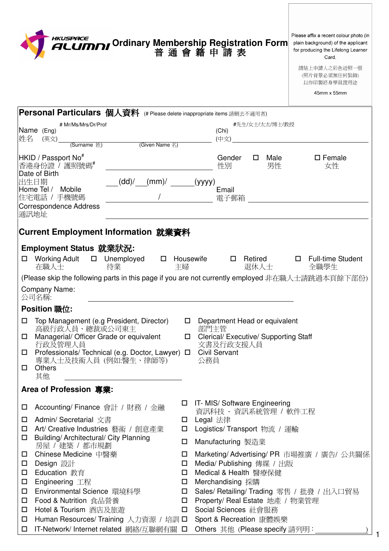|                        | HKUSPACE<br>ALUMNI                                                                                                                                                                                                   |             | Please affix a recent colour photo (in<br>Ordinary Membership Registration Form<br>普通會籍申請表<br>plain background) of the applicant<br>for producing the Lifelong Learner<br>Card.<br>請貼上申請人之彩色近照一張<br>(照片背景必須無任何裝飾)<br>以作印製終身學員證用途<br>45mm x 55mm |
|------------------------|----------------------------------------------------------------------------------------------------------------------------------------------------------------------------------------------------------------------|-------------|-------------------------------------------------------------------------------------------------------------------------------------------------------------------------------------------------------------------------------------------------|
|                        | Personal Particulars 個人資料 (# Please delete inappropriate items 請刪去不適用者)                                                                                                                                              |             |                                                                                                                                                                                                                                                 |
| 姓名                     | # Mr/Ms/Mrs/Dr/Prof<br>Name (Eng)<br>(英文)<br><b>COLORED (Given Name</b> 名)<br>(Surname 姓)                                                                                                                            |             | #先生/女士/太太/博士/教授<br>(Chi)<br>(中文)                                                                                                                                                                                                                |
|                        | HKID / Passport No <sup>#</sup><br>香港身份證 / 護照號碼#<br>Date of Birth                                                                                                                                                    |             | Gender<br>Male<br>$\square$ Female<br>性別<br>男性<br>女性                                                                                                                                                                                            |
|                        | (dd)'<br>出生日期<br>(mm)<br>Home Tel /<br>Mobile<br>住宅電話 / 手機號碼<br>Correspondence Address                                                                                                                               |             | (yyyy)<br>Email<br>電子郵箱                                                                                                                                                                                                                         |
|                        | 通訊地址                                                                                                                                                                                                                 |             |                                                                                                                                                                                                                                                 |
|                        | Current Employment Information 就業資料                                                                                                                                                                                  |             |                                                                                                                                                                                                                                                 |
|                        | Employment Status 就業狀況:<br><b>Working Adult</b><br>□ Unemployed<br>$\Box$<br>待業<br>在職人士                                                                                                                              | 主婦          | Full-time Student<br>Housewife<br>Retired<br>0<br>0<br>退休人士<br>全職學生<br>(Please skip the following parts in this page if you are not currently employed 非在職人士請跳過本頁餘下部份)                                                                          |
|                        | Company Name:<br>公司名稱:                                                                                                                                                                                               |             |                                                                                                                                                                                                                                                 |
|                        | Position 職位:                                                                                                                                                                                                         |             |                                                                                                                                                                                                                                                 |
| □<br>□<br>$\Box$<br>0. | Top Management (e.g President, Director)<br>高級行政人員、總裁或公司東主<br>Managerial/ Officer Grade or equivalent<br>行政及管理人員<br>Professionals/ Technical (e.g. Doctor, Lawyer) □<br>專業人士及技術人員 (例如:醫生、律師等)<br><b>Others</b><br>其他 | □<br>$\Box$ | Department Head or equivalent<br>部門主管<br>Clerical/ Executive/ Supporting Staff<br>文書及行政支援人員<br><b>Civil Servant</b><br>公務員                                                                                                                      |
|                        | Area of Profession 專業:                                                                                                                                                                                               |             |                                                                                                                                                                                                                                                 |
| □<br>0                 | Accounting/ Finance 會計 / 財務 / 金融<br>Admin/ Secretarial 文書                                                                                                                                                            | □           | IT- MIS/ Software Engineering<br>資訊科技 - 資訊系統管理 / 軟件工程<br>Legal 法律                                                                                                                                                                               |
| $\Box$                 | Art/ Creative Industries 藝術 / 創意產業                                                                                                                                                                                   | □           | Logistics/ Transport 物流 / 運輸                                                                                                                                                                                                                    |
| ◻                      | Building/Architectural/ City Planning<br>房屋 / 建築 / 都市規劃                                                                                                                                                              | □           | Manufacturing 製造業                                                                                                                                                                                                                               |
| □                      | Chinese Medicine 中醫藥                                                                                                                                                                                                 | □           | Marketing/ Advertising/ PR 市場推廣 / 廣告/ 公共關係                                                                                                                                                                                                      |
| □                      | Design 設計                                                                                                                                                                                                            | □           | Media/ Publishing 傳媒 / 出版                                                                                                                                                                                                                       |
| □<br>□                 | Education 教育<br>Engineering 工程                                                                                                                                                                                       | □<br>□      | Medical & Health 醫療保健<br>Merchandising 採購                                                                                                                                                                                                       |
| □                      | Environmental Science 環境科學                                                                                                                                                                                           | $\Box$      | Sales/ Retailing/ Trading 零售 / 批發 / 出入口貿易                                                                                                                                                                                                       |
| □                      | <b>Food &amp; Nutrition</b> 食品營養                                                                                                                                                                                     | □           | Property/ Real Estate 地產 / 物業管理                                                                                                                                                                                                                 |
| □                      | Hotel & Tourism 酒店及旅遊                                                                                                                                                                                                | 0           | Social Sciences 社會服務                                                                                                                                                                                                                            |
| □                      | Human Resources/ Training 人力資源 / 培訓 ロ                                                                                                                                                                                |             | Sport & Recreation 康體娛樂                                                                                                                                                                                                                         |
| $\Box$                 | <b>IT-Network/ Internet related 網絡/互聯網有關 □</b>                                                                                                                                                                       |             | Others 其他 (Please specify 請列明:                                                                                                                                                                                                                  |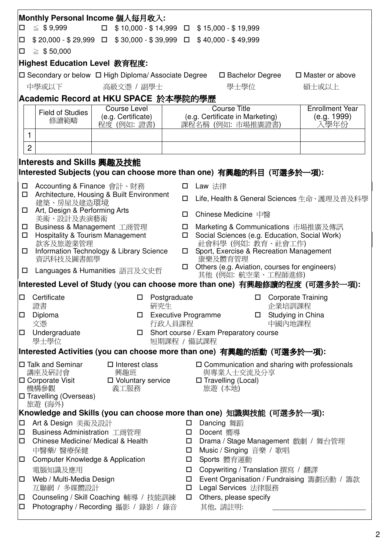| Monthly Personal Income 個人每月收入:                                                                     |                                                                                       |                                                                           |                  |                                                                                 |                           |  |  |  |  |  |
|-----------------------------------------------------------------------------------------------------|---------------------------------------------------------------------------------------|---------------------------------------------------------------------------|------------------|---------------------------------------------------------------------------------|---------------------------|--|--|--|--|--|
| $\leq$ \$9,999<br>$\Box$ \$10,000 - \$14,999 $\Box$ \$15,000 - \$19,999<br>$\Box$                   |                                                                                       |                                                                           |                  |                                                                                 |                           |  |  |  |  |  |
| □                                                                                                   |                                                                                       | $$20,000 - $29,999$ $\Box$ $$30,000 - $39,999$ $\Box$ $$40,000 - $49,999$ |                  |                                                                                 |                           |  |  |  |  |  |
| $\geq$ \$ 50,000<br>$\Box$                                                                          |                                                                                       |                                                                           |                  |                                                                                 |                           |  |  |  |  |  |
| <b>Highest Education Level 教育程度:</b>                                                                |                                                                                       |                                                                           |                  |                                                                                 |                           |  |  |  |  |  |
|                                                                                                     |                                                                                       | $\square$ Secondary or below $\square$ High Diploma/ Associate Degree     |                  | $\square$ Bachelor Degree                                                       | $\Box$ Master or above    |  |  |  |  |  |
|                                                                                                     | 中學或以下                                                                                 | 高級文憑 / 副學士                                                                |                  | 學士學位                                                                            | 碩士或以上                     |  |  |  |  |  |
|                                                                                                     |                                                                                       | Academic Record at HKU SPACE 於本學院的學歷                                      |                  |                                                                                 |                           |  |  |  |  |  |
|                                                                                                     | Field of Studies                                                                      | Course Level                                                              |                  | <b>Course Title</b>                                                             | <b>Enrollment Year</b>    |  |  |  |  |  |
|                                                                                                     | 修讀範疇                                                                                  | $(e.g.$ Certificate) $\Box$<br>程度 (例如:證書)                                 |                  | (e.g. Certificate in Marketing)<br>課程名稱 (例如: 市場推廣證書)                            | (e.g. 1999)<br>入學年份       |  |  |  |  |  |
|                                                                                                     | 1                                                                                     |                                                                           |                  |                                                                                 |                           |  |  |  |  |  |
|                                                                                                     | $\overline{c}$                                                                        |                                                                           |                  |                                                                                 |                           |  |  |  |  |  |
|                                                                                                     |                                                                                       |                                                                           |                  |                                                                                 |                           |  |  |  |  |  |
|                                                                                                     | Interests and Skills 興趣及技能                                                            |                                                                           |                  |                                                                                 |                           |  |  |  |  |  |
|                                                                                                     |                                                                                       |                                                                           |                  | Interested Subjects (you can choose more than one) 有興趣的科目 (可選多於一項):             |                           |  |  |  |  |  |
| $\Box$<br>□                                                                                         | Accounting & Finance 會計、財務                                                            | Architecture, Housing & Built Environment                                 |                  | Law 法律                                                                          |                           |  |  |  |  |  |
|                                                                                                     | 建築、房屋及建造環境                                                                            |                                                                           | П.               | Life, Health & General Sciences 生命、護理及普及科學                                      |                           |  |  |  |  |  |
|                                                                                                     | Art, Design & Performing Arts<br>美術、設計及表演藝術                                           |                                                                           | $\Box$           | Chinese Medicine 中醫                                                             |                           |  |  |  |  |  |
| $\Box$                                                                                              |                                                                                       | Business & Management 工商管理                                                | $\Box$           | Marketing & Communications 市場推廣及傳訊                                              |                           |  |  |  |  |  |
| $\Box$                                                                                              | <b>Hospitality &amp; Tourism Management</b>                                           |                                                                           | $\Box$           | Social Sciences (e.g. Education, Social Work)                                   |                           |  |  |  |  |  |
|                                                                                                     | 款客及旅遊業管理<br>Information Technology & Library Science<br>$\Box$<br>資訊科技及圖書館學           |                                                                           |                  | 社會科學 (例如: 教育、社會工作)<br>Sport, Exercise & Recreation Management<br>康樂及體育管理        |                           |  |  |  |  |  |
| $\Box$                                                                                              |                                                                                       | Languages & Humanities 語言及文史哲                                             | □                | Others (e.g. Aviation, courses for engineers)                                   |                           |  |  |  |  |  |
| 其他 (例如: 航空業、工程師進修)<br> Interested Level of Study (you can choose more than one)  有興趣修讀的程度 (可選多於一項): |                                                                                       |                                                                           |                  |                                                                                 |                           |  |  |  |  |  |
| $\Box$                                                                                              | Certificate                                                                           | □                                                                         | Postgraduate     | $\Box$                                                                          | <b>Corporate Training</b> |  |  |  |  |  |
|                                                                                                     | 證書                                                                                    | 研究生                                                                       |                  | 企業培訓課程                                                                          |                           |  |  |  |  |  |
| $\Box$                                                                                              | Diploma<br>文憑                                                                         | □                                                                         |                  | □ Studying in China<br><b>Executive Programme</b>                               |                           |  |  |  |  |  |
| $\Box$                                                                                              | 行政人員課程<br>中國內地課程<br>Undergraduate<br>Short course / Exam Preparatory course<br>$\Box$ |                                                                           |                  |                                                                                 |                           |  |  |  |  |  |
|                                                                                                     | 學士學位                                                                                  |                                                                           | 短期課程 / 備試課程      |                                                                                 |                           |  |  |  |  |  |
|                                                                                                     |                                                                                       |                                                                           |                  | Interested Activities (you can choose more than one)  有興趣的活動  (可選多於一項):         |                           |  |  |  |  |  |
|                                                                                                     | □ Talk and Seminar<br>講座及研討會                                                          | $\square$ Interest class<br>興趣班                                           |                  | □ Communication and sharing with professionals<br>與專業人士交流及分享                    |                           |  |  |  |  |  |
|                                                                                                     | $\square$ Corporate Visit                                                             | □ Voluntary service                                                       |                  | $\Box$ Travelling (Local)                                                       |                           |  |  |  |  |  |
|                                                                                                     | 機構參觀<br>□ Travelling (Overseas)                                                       | 義工服務                                                                      |                  | 旅遊 (本地)                                                                         |                           |  |  |  |  |  |
|                                                                                                     | 旅遊 (海外)                                                                               |                                                                           |                  |                                                                                 |                           |  |  |  |  |  |
|                                                                                                     |                                                                                       |                                                                           |                  | Knowledge and Skills (you can choose more than one)  知識與技能  (可選多於一項):           |                           |  |  |  |  |  |
| $\Box$<br>$\Box$                                                                                    | Art & Design 美術及設計<br>Business Administration 工商管理                                    |                                                                           | $\Box$<br>$\Box$ | Dancing 舞蹈<br>Docent 嚮導                                                         |                           |  |  |  |  |  |
| □                                                                                                   | Chinese Medicine/ Medical & Health                                                    |                                                                           | $\Box$           | Drama / Stage Management 戲劇 / 舞台管理                                              |                           |  |  |  |  |  |
|                                                                                                     | 中醫藥/ 醫療保健                                                                             |                                                                           |                  | Music / Singing 音樂 / 歌唱<br>$\Box$<br>□                                          |                           |  |  |  |  |  |
| Computer Knowledge & Application<br>口                                                               |                                                                                       |                                                                           |                  | Sports 體育運動                                                                     |                           |  |  |  |  |  |
| 電腦知識及應用<br>□<br>Web / Multi-Media Design<br>$\Box$<br>$\Box$                                        |                                                                                       |                                                                           |                  | Copywriting / Translation 撰寫 / 翻譯<br>Event Organisation / Fundraising 籌劃活動 / 籌款 |                           |  |  |  |  |  |
| 互聯網 / 多媒體設計                                                                                         |                                                                                       |                                                                           | $\Box$           | Legal Services 法律服務                                                             |                           |  |  |  |  |  |
| 口                                                                                                   | Counseling / Skill Coaching 輔導 / 技能訓練                                                 |                                                                           |                  | Others, please specify<br>$\Box$                                                |                           |  |  |  |  |  |
| $\Box$                                                                                              |                                                                                       | Photography / Recording 攝影 / 錄影 / 錄音                                      |                  | 其他,請註明:                                                                         |                           |  |  |  |  |  |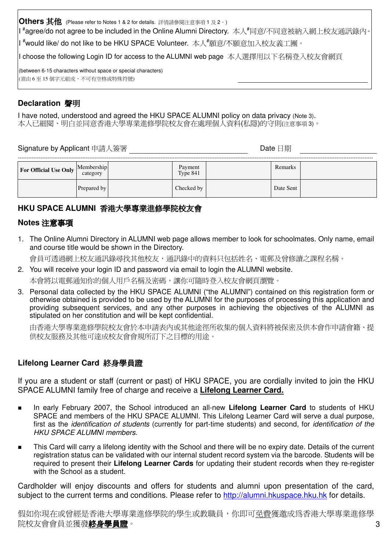Others 其他 (Please refer to Notes 1 & 2 for details. 詳情請參閱注意事項 1 及 2。)

I "agree/do not agree to be included in the Online Alumni Directory. 本人"同意/不同意被納入網上校友通訊錄內。

I <sup>#</sup>would like/ do not like to be HKU SPACE Volunteer. 本人<sup>#</sup>願意/不願意加入校友義工團。

I choose the following Login ID for access to the ALUMNI web page 本人選擇用以下名稱登入校友會網頁

(between 6-15 characters without space or special characters) (須由6至15個字元組成,不可有空格或特殊符號)

# Declaration 聲明

I have noted, understood and agreed the HKU SPACE ALUMNI policy on data privacy (Note 3). 本人已細閱、明白並同意香港大學專業進修學院校友會在處理個人資料(私隱)的守則(注意事項3)。

Date 日期

| For Official Use Only $\vert$ <sup>r</sup> | Membership<br>category | Payment<br>Type 841 | Remarks   |  |
|--------------------------------------------|------------------------|---------------------|-----------|--|
|                                            | Prepared by            | Checked by          | Date Sent |  |

## HKU SPACE ALUMNI 香港大學專業進修學院校友會

#### Notes 注意事項

1. The Online Alumni Directory in ALUMNI web page allows member to look for schoolmates. Only name, email and course title would be shown in the Directory.

會員可透過網上校友通訊錄尋找其他校友,通訊錄中的資料只包括姓名、電郵及曾修讀之課程名稱。

2. You will receive your login ID and password via email to login the ALUMNI website.

本會將以電郵通知你的個人用戶名稱及密碼,讓你可隨時登入校友會網頁瀏覽。

3. Personal data collected by the HKU SPACE ALUMNI ("the ALUMNI") contained on this registration form or otherwise obtained is provided to be used by the ALUMNI for the purposes of processing this application and providing subsequent services, and any other purposes in achieving the objectives of the ALUMNI as stipulated on her constitution and will be kept confidential.

由香港大學專業進修學院校友會於本申請表內或其他途徑所收集的個人資料將被保密及供本會作申請會籍、提 供校友服務及其他可達成校友會會規所訂下之目標的用途。

#### Lifelong Learner Card 終身學員證

If you are a student or staff (current or past) of HKU SPACE, you are cordially invited to join the HKU SPACE ALUMNI family free of charge and receive a Lifelong Learner Card.

- In early February 2007, the School introduced an all-new Lifelong Learner Card to students of HKU SPACE and members of the HKU SPACE ALUMNI. This Lifelong Learner Card will serve a dual purpose, first as the *identification of students* (currently for part-time students) and second, for *identification of the* **HKU SPACE ALUMNI members.**
- This Card will carry a lifelong identity with the School and there will be no expiry date. Details of the current registration status can be validated with our internal student record system via the barcode. Students will be required to present their Lifelong Learner Cards for updating their student records when they re-register with the School as a student.

Cardholder will enjoy discounts and offers for students and alumni upon presentation of the card, subject to the current terms and conditions. Please refer to http://alumni.hkuspace.hku.hk for details.

假如你現在或曾經是香港大學專業進修學院的學生或教職員,你即可免費獲激成為香港大學專業進修學 院校友會會員並獲發**終身學員證**。